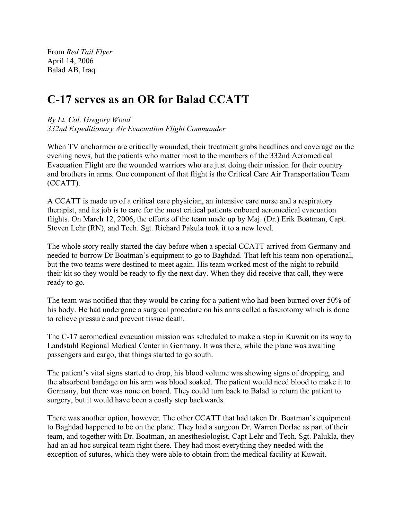From *Red Tail Flyer* April 14, 2006 Balad AB, Iraq

## C-17 serves as an OR for Balad CCATT

## *By Lt. Col. Gregory Wood*

*332nd Expeditionary Air Evacuation Flight Commander*

When TV anchormen are critically wounded, their treatment grabs headlines and coverage on the evening news, but the patients who matter most to the members of the 332nd Aeromedical Evacuation Flight are the wounded warriors who are just doing their mission for their country and brothers in arms. One component of that flight is the Critical Care Air Transportation Team (CCATT).

A CCATT is made up of a critical care physician, an intensive care nurse and a respiratory therapist, and its job is to care for the most critical patients onboard aeromedical evacuation flights. On March 12, 2006, the efforts of the team made up by Maj. (Dr.) Erik Boatman, Capt. Steven Lehr (RN), and Tech. Sgt. Richard Pakula took it to a new level.

The whole story really started the day before when a special CCATT arrived from Germany and needed to borrow Dr Boatman's equipment to go to Baghdad. That left his team non-operational, but the two teams were destined to meet again. His team worked most of the night to rebuild their kit so they would be ready to fly the next day. When they did receive that call, they were ready to go.

The team was notified that they would be caring for a patient who had been burned over 50% of his body. He had undergone a surgical procedure on his arms called a fasciotomy which is done to relieve pressure and prevent tissue death.

The C-17 aeromedical evacuation mission was scheduled to make a stop in Kuwait on its way to Landstuhl Regional Medical Center in Germany. It was there, while the plane was awaiting passengers and cargo, that things started to go south.

The patient's vital signs started to drop, his blood volume was showing signs of dropping, and the absorbent bandage on his arm was blood soaked. The patient would need blood to make it to Germany, but there was none on board. They could turn back to Balad to return the patient to surgery, but it would have been a costly step backwards.

There was another option, however. The other CCATT that had taken Dr. Boatman's equipment to Baghdad happened to be on the plane. They had a surgeon Dr. Warren Dorlac as part of their team, and together with Dr. Boatman, an anesthesiologist, Capt Lehr and Tech. Sgt. Palukla, they had an ad hoc surgical team right there. They had most everything they needed with the exception of sutures, which they were able to obtain from the medical facility at Kuwait.